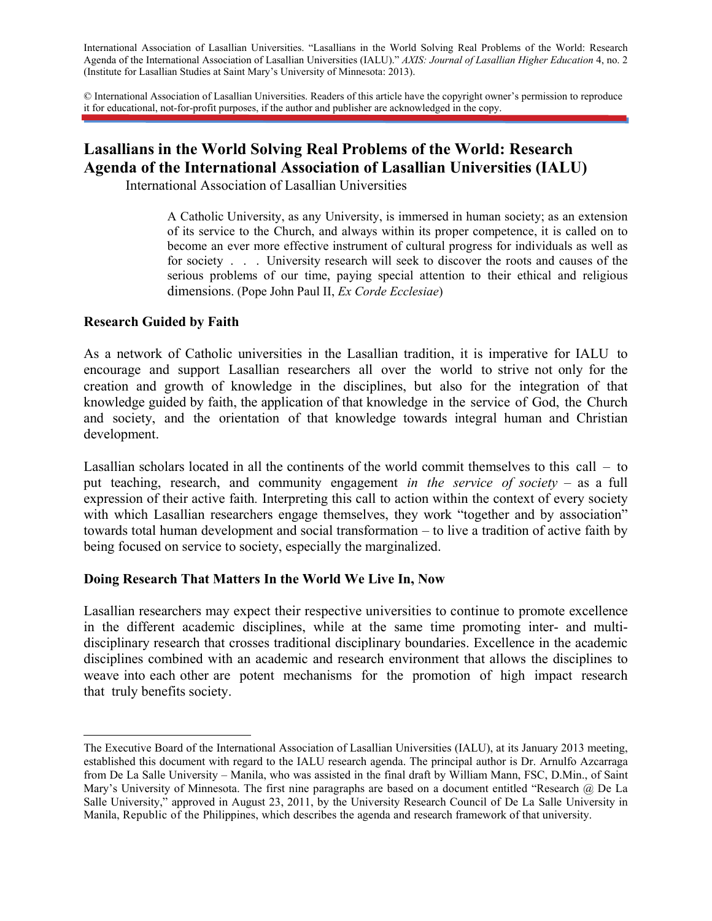International Association of Lasallian Universities. "Lasallians in the World Solving Real Problems of the World: Research Agenda of the International Association of Lasallian Universities (IALU)." *AXIS: Journal of Lasallian Higher Education* 4, no. 2 (Institute for Lasallian Studies at Saint Mary's University of Minnesota: 2013).

© International Association of Lasallian Universities. Readers of this article have the copyright owner's permission to reproduce it for educational, not-for-profit purposes, if the author and publisher are acknowledged in the copy.

# **Lasallians in the World Solving Real Problems of the World: Research Agenda of the International Association of Lasallian Universities (IALU)**

International Association of Lasallian Universities

A Catholic University, as any University, is immersed in human society; as an extension of its service to the Church, and always within its proper competence, it is called on to become an ever more effective instrument of cultural progress for individuals as well as for society . . . University research will seek to discover the roots and causes of the serious problems of our time, paying special attention to their ethical and religious dimensions. (Pope John Paul II, *Ex Corde Ecclesiae*)

#### **Research Guided by Faith**

As a network of Catholic universities in the Lasallian tradition, it is imperative for IALU to encourage and support Lasallian researchers all over the world to strive not only for the creation and growth of knowledge in the disciplines, but also for the integration of that knowledge guided by faith, the application of that knowledge in the service of God, the Church and society, and the orientation of that knowledge towards integral human and Christian development.

Lasallian scholars located in all the continents of the world commit themselves to this call – to put teaching, research, and community engagement *in the service of society* – as a full expression of their active faith*.* Interpreting this call to action within the context of every society with which Lasallian researchers engage themselves, they work "together and by association" towards total human development and social transformation – to live a tradition of active faith by being focused on service to society, especially the marginalized.

### **Doing Research That Matters In the World We Live In, Now**

Lasallian researchers may expect their respective universities to continue to promote excellence in the different academic disciplines, while at the same time promoting inter- and multidisciplinary research that crosses traditional disciplinary boundaries. Excellence in the academic disciplines combined with an academic and research environment that allows the disciplines to weave into each other are potent mechanisms for the promotion of high impact research that truly benefits society.

 The Executive Board of the International Association of Lasallian Universities (IALU), at its January 2013 meeting, established this document with regard to the IALU research agenda. The principal author is Dr. Arnulfo Azcarraga from De La Salle University – Manila, who was assisted in the final draft by William Mann, FSC, D.Min., of Saint Mary's University of Minnesota. The first nine paragraphs are based on a document entitled "Research @ De La Salle University," approved in August 23, 2011, by the University Research Council of De La Salle University in Manila, Republic of the Philippines, which describes the agenda and research framework of that university.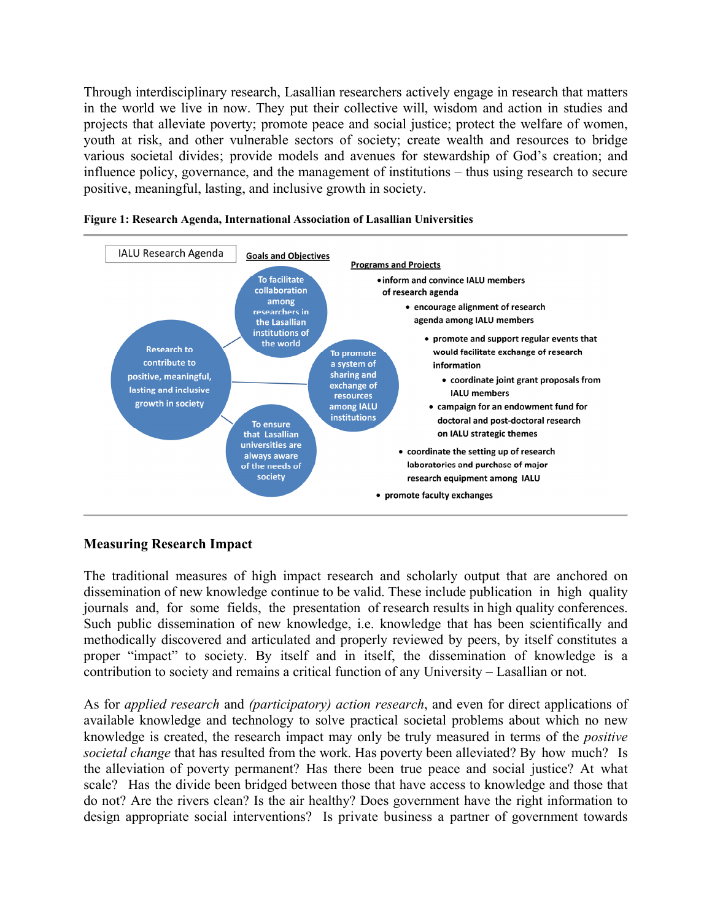Through interdisciplinary research, Lasallian researchers actively engage in research that matters in the world we live in now. They put their collective will, wisdom and action in studies and projects that alleviate poverty; promote peace and social justice; protect the welfare of women, youth at risk, and other vulnerable sectors of society; create wealth and resources to bridge various societal divides; provide models and avenues for stewardship of God's creation; and influence policy, governance, and the management of institutions – thus using research to secure positive, meaningful, lasting, and inclusive growth in society.





### **Measuring Research Impact**

The traditional measures of high impact research and scholarly output that are anchored on dissemination of new knowledge continue to be valid. These include publication in high quality journals and, for some fields, the presentation of research results in high quality conferences. Such public dissemination of new knowledge, i.e. knowledge that has been scientifically and methodically discovered and articulated and properly reviewed by peers, by itself constitutes a proper "impact" to society. By itself and in itself, the dissemination of knowledge is a contribution to society and remains a critical function of any University – Lasallian or not.

As for *applied research* and *(participatory) action research*, and even for direct applications of available knowledge and technology to solve practical societal problems about which no new knowledge is created, the research impact may only be truly measured in terms of the *positive societal change* that has resulted from the work. Has poverty been alleviated? By how much? Is the alleviation of poverty permanent? Has there been true peace and social justice? At what scale? Has the divide been bridged between those that have access to knowledge and those that do not? Are the rivers clean? Is the air healthy? Does government have the right information to design appropriate social interventions? Is private business a partner of government towards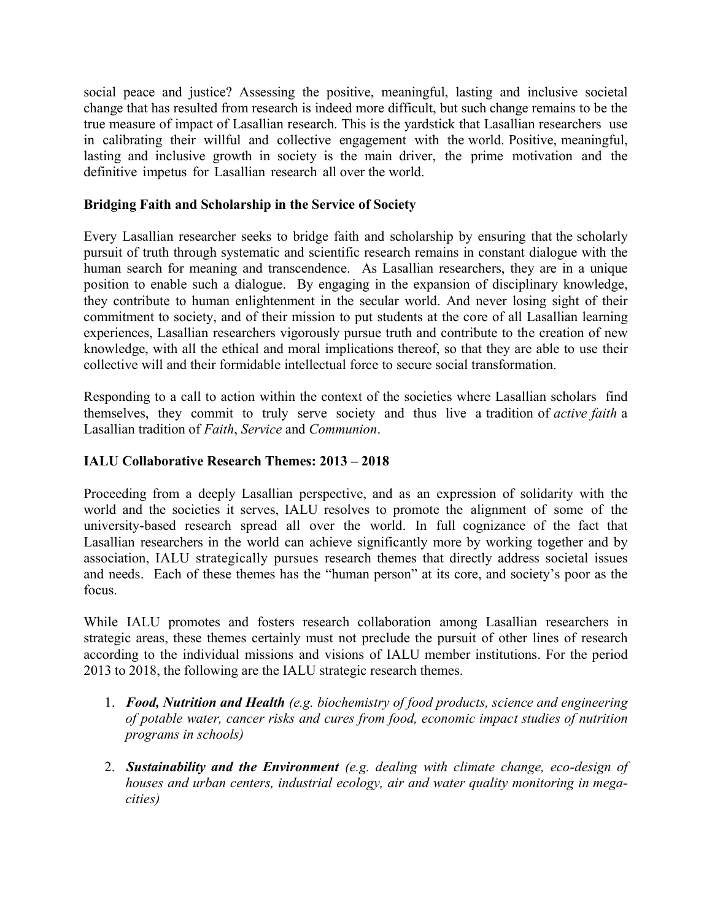social peace and justice? Assessing the positive, meaningful, lasting and inclusive societal change that has resulted from research is indeed more difficult, but such change remains to be the true measure of impact of Lasallian research. This is the yardstick that Lasallian researchers use in calibrating their willful and collective engagement with the world. Positive, meaningful, lasting and inclusive growth in society is the main driver, the prime motivation and the definitive impetus for Lasallian research all over the world.

## **Bridging Faith and Scholarship in the Service of Society**

Every Lasallian researcher seeks to bridge faith and scholarship by ensuring that the scholarly pursuit of truth through systematic and scientific research remains in constant dialogue with the human search for meaning and transcendence. As Lasallian researchers, they are in a unique position to enable such a dialogue. By engaging in the expansion of disciplinary knowledge, they contribute to human enlightenment in the secular world. And never losing sight of their commitment to society, and of their mission to put students at the core of all Lasallian learning experiences, Lasallian researchers vigorously pursue truth and contribute to the creation of new knowledge, with all the ethical and moral implications thereof, so that they are able to use their collective will and their formidable intellectual force to secure social transformation.

Responding to a call to action within the context of the societies where Lasallian scholars find themselves, they commit to truly serve society and thus live a tradition of *active faith* a Lasallian tradition of *Faith*, *Service* and *Communion*.

## **IALU Collaborative Research Themes: 2013 – 2018**

Proceeding from a deeply Lasallian perspective, and as an expression of solidarity with the world and the societies it serves, IALU resolves to promote the alignment of some of the university-based research spread all over the world. In full cognizance of the fact that Lasallian researchers in the world can achieve significantly more by working together and by association, IALU strategically pursues research themes that directly address societal issues and needs. Each of these themes has the "human person" at its core, and society's poor as the focus.

While IALU promotes and fosters research collaboration among Lasallian researchers in strategic areas, these themes certainly must not preclude the pursuit of other lines of research according to the individual missions and visions of IALU member institutions. For the period 2013 to 2018, the following are the IALU strategic research themes.

- 1. *Food, Nutrition and Health (e.g. biochemistry of food products, science and engineering of potable water, cancer risks and cures from food, economic impact studies of nutrition programs in schools)*
- 2. *Sustainability and the Environment (e.g. dealing with climate change, eco-design of houses and urban centers, industrial ecology, air and water quality monitoring in megacities)*